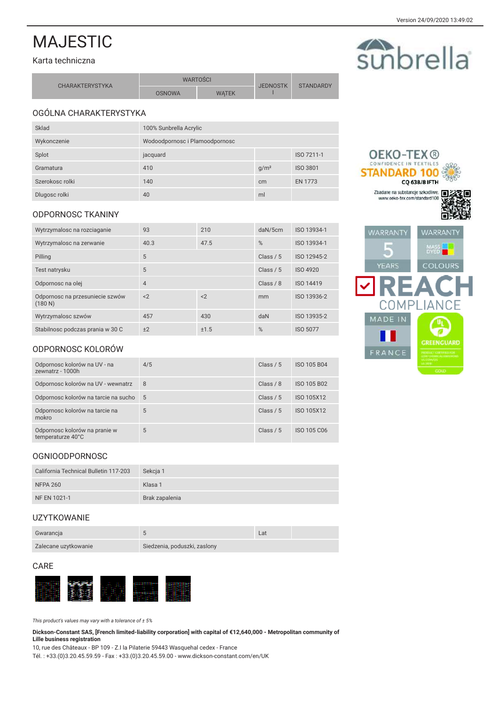sunbrella

**OEKO-TEX®** CONFIDENCE IN TEXTILES **STANDARD 100** 

> **CQ 638/8 IFTH** Zbadane na substancje szkodliwe.

# **MAJESTIC**

### Karta techniczna

| <b>CHARAKTERYSTYKA</b> | <b>WARTOSCI</b> |              | <b>JEDNOSTK</b> | <b>STANDARDY</b> |
|------------------------|-----------------|--------------|-----------------|------------------|
|                        | <b>OSNOWA</b>   | <b>WATEK</b> |                 |                  |

# OGÓLNA CHARAKTERYSTYKA

| Sklad           | 100% Sunbrella Acrylic         |                  |                 |
|-----------------|--------------------------------|------------------|-----------------|
| Wykonczenie     | Wodoodpornosc i Plamoodpornosc |                  |                 |
| Splot           | jacquard                       |                  | ISO 7211-1      |
| Gramatura       | 410                            | g/m <sup>2</sup> | <b>ISO 3801</b> |
| Szerokosc rolki | 140                            | cm               | <b>EN 1773</b>  |
| Dlugosc rolki   | 40                             | ml               |                 |

### **ODPORNOSC TKANINY**

| Wytrzymalosc na rozciaganie                | 93             | 210   | daN/5cm     | ISO 13934-1     |
|--------------------------------------------|----------------|-------|-------------|-----------------|
| Wytrzymalosc na zerwanie                   | 40.3           | 47.5  | %           | ISO 13934-1     |
| Pilling                                    | 5              |       | Class $/ 5$ | ISO 12945-2     |
| Test natrysku                              | 5              |       | Class $/ 5$ | ISO 4920        |
| Odpornosc na olej                          | $\overline{4}$ |       | Class $/ 8$ | ISO 14419       |
| Odpornosc na przesuniecie szwów<br>(180 N) | $<$ 2          | $<$ 2 | mm          | ISO 13936-2     |
| Wytrzymalosc szwów                         | 457            | 430   | daN         | ISO 13935-2     |
| Stabilnosc podczas prania w 30 C           | ±2             | ±1.5  | %           | <b>ISO 5077</b> |



# ODPORNOSC KOLORÓW

| Odpornosc kolorów na UV - na<br>zewnatrz - 1000h   | 4/5 | Class $/ 5$ | <b>ISO 105 B04</b> |
|----------------------------------------------------|-----|-------------|--------------------|
| Odpornosc kolorów na UV - wewnatrz                 | 8   | Class $/ 8$ | <b>ISO 105 B02</b> |
| Odpornosc kolorów na tarcie na sucho               | 5   | Class $/ 5$ | ISO 105X12         |
| Odpornosc kolorów na tarcie na<br>mokro            | 5   | Class $/ 5$ | ISO 105X12         |
| Odpornosc kolorów na pranie w<br>temperaturze 40°C | 5   | Class $/ 5$ | ISO 105 C06        |

## **OGNIOODPORNOSC**

| California Technical Bulletin 117-203 | Sekcia 1       |
|---------------------------------------|----------------|
| <b>NFPA 260</b>                       | Klasa 1        |
| NF EN 1021-1                          | Brak zapalenia |

## **UZYTKOWANIE**

| Gwarancja            |                              | Lat |  |
|----------------------|------------------------------|-----|--|
| Zalecane uzytkowanie | Siedzenia, poduszki, zaslony |     |  |

### CARE



This product's values may vary with a tolerance of  $\pm 5\%$ 

Dickson-Constant SAS, [French limited-liability corporation] with capital of €12,640,000 - Metropolitan community of Lille business registration

10, rue des Châteaux - BP 109 - Z.I la Pilaterie 59443 Wasquehal cedex - France Tél.: +33.(0)3.20.45.59.59 - Fax: +33.(0)3.20.45.59.00 - www.dickson-constant.com/en/UK